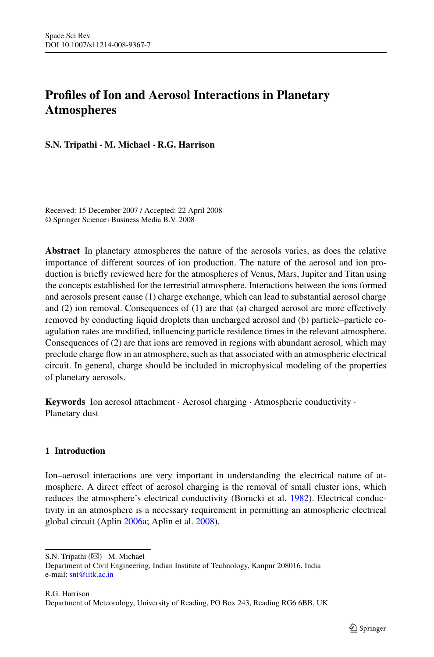# **Profiles of Ion and Aerosol Interactions in Planetary Atmospheres**

**S.N. Tripathi · M. Michael · R.G. Harrison**

Received: 15 December 2007 / Accepted: 22 April 2008 © Springer Science+Business Media B.V. 2008

**Abstract** In planetary atmospheres the nature of the aerosols varies, as does the relative importance of different sources of ion production. The nature of the aerosol and ion production is briefly reviewed here for the atmospheres of Venus, Mars, Jupiter and Titan using the concepts established for the terrestrial atmosphere. Interactions between the ions formed and aerosols present cause (1) charge exchange, which can lead to substantial aerosol charge and (2) ion removal. Consequences of (1) are that (a) charged aerosol are more effectively removed by conducting liquid droplets than uncharged aerosol and (b) particle–particle coagulation rates are modified, influencing particle residence times in the relevant atmosphere. Consequences of (2) are that ions are removed in regions with abundant aerosol, which may preclude charge flow in an atmosphere, such as that associated with an atmospheric electrical circuit. In general, charge should be included in microphysical modeling of the properties of planetary aerosols.

**Keywords** Ion aerosol attachment · Aerosol charging · Atmospheric conductivity · Planetary dust

### **1 Introduction**

Ion–aerosol interactions are very important in understanding the electrical nature of atmosphere. A direct effect of aerosol charging is the removal of small cluster ions, which reduces the atmosphere's electrical conductivity (Borucki et al. [1982\)](#page-16-0). Electrical conductivity in an atmosphere is a necessary requirement in permitting an atmospheric electrical global circuit (Aplin [2006a;](#page-16-0) Aplin et al. [2008](#page-16-0)).

S.N. Tripathi ( $\boxtimes$ ) · M. Michael

Department of Civil Engineering, Indian Institute of Technology, Kanpur 208016, India e-mail: [snt@iitk.ac.in](mailto:snt@iitk.ac.in)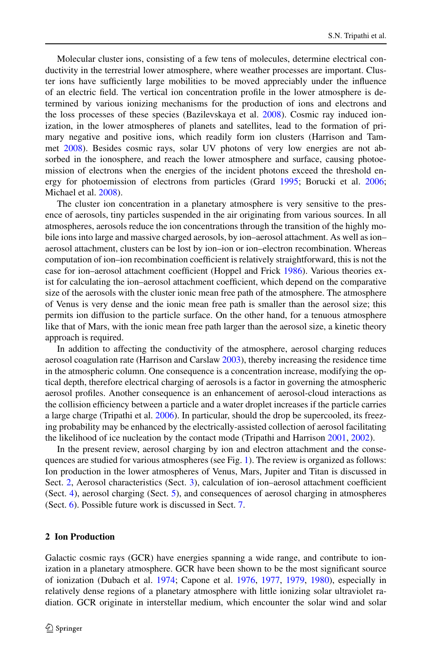Molecular cluster ions, consisting of a few tens of molecules, determine electrical conductivity in the terrestrial lower atmosphere, where weather processes are important. Cluster ions have sufficiently large mobilities to be moved appreciably under the influence of an electric field. The vertical ion concentration profile in the lower atmosphere is determined by various ionizing mechanisms for the production of ions and electrons and the loss processes of these species (Bazilevskaya et al. [2008\)](#page-16-0). Cosmic ray induced ionization, in the lower atmospheres of planets and satellites, lead to the formation of primary negative and positive ions, which readily form ion clusters (Harrison and Tammet [2008\)](#page-17-0). Besides cosmic rays, solar UV photons of very low energies are not absorbed in the ionosphere, and reach the lower atmosphere and surface, causing photoemission of electrons when the energies of the incident photons exceed the threshold energy for photoemission of electrons from particles (Grard [1995](#page-17-0); Borucki et al. [2006;](#page-16-0) Michael et al. [2008\)](#page-17-0).

The cluster ion concentration in a planetary atmosphere is very sensitive to the presence of aerosols, tiny particles suspended in the air originating from various sources. In all atmospheres, aerosols reduce the ion concentrations through the transition of the highly mobile ions into large and massive charged aerosols, by ion–aerosol attachment. As well as ion– aerosol attachment, clusters can be lost by ion–ion or ion–electron recombination. Whereas computation of ion–ion recombination coefficient is relatively straightforward, this is not the case for ion–aerosol attachment coefficient (Hoppel and Frick [1986](#page-17-0)). Various theories exist for calculating the ion–aerosol attachment coefficient, which depend on the comparative size of the aerosols with the cluster ionic mean free path of the atmosphere. The atmosphere of Venus is very dense and the ionic mean free path is smaller than the aerosol size; this permits ion diffusion to the particle surface. On the other hand, for a tenuous atmosphere like that of Mars, with the ionic mean free path larger than the aerosol size, a kinetic theory approach is required.

In addition to affecting the conductivity of the atmosphere, aerosol charging reduces aerosol coagulation rate (Harrison and Carslaw [2003\)](#page-17-0), thereby increasing the residence time in the atmospheric column. One consequence is a concentration increase, modifying the optical depth, therefore electrical charging of aerosols is a factor in governing the atmospheric aerosol profiles. Another consequence is an enhancement of aerosol-cloud interactions as the collision efficiency between a particle and a water droplet increases if the particle carries a large charge (Tripathi et al. [2006](#page-18-0)). In particular, should the drop be supercooled, its freezing probability may be enhanced by the electrically-assisted collection of aerosol facilitating the likelihood of ice nucleation by the contact mode (Tripathi and Harrison [2001,](#page-18-0) [2002\)](#page-18-0).

In the present review, aerosol charging by ion and electron attachment and the consequences are studied for various atmospheres (see Fig. [1](#page-2-0)). The review is organized as follows: Ion production in the lower atmospheres of Venus, Mars, Jupiter and Titan is discussed in Sect. 2, Aerosol characteristics (Sect. [3\)](#page-4-0), calculation of ion–aerosol attachment coefficient (Sect. [4](#page-6-0)), aerosol charging (Sect. [5](#page-10-0)), and consequences of aerosol charging in atmospheres (Sect. [6\)](#page-12-0). Possible future work is discussed in Sect. [7](#page-15-0).

#### **2 Ion Production**

Galactic cosmic rays (GCR) have energies spanning a wide range, and contribute to ionization in a planetary atmosphere. GCR have been shown to be the most significant source of ionization (Dubach et al. [1974](#page-16-0); Capone et al. [1976,](#page-16-0) [1977,](#page-16-0) [1979,](#page-16-0) [1980](#page-16-0)), especially in relatively dense regions of a planetary atmosphere with little ionizing solar ultraviolet radiation. GCR originate in interstellar medium, which encounter the solar wind and solar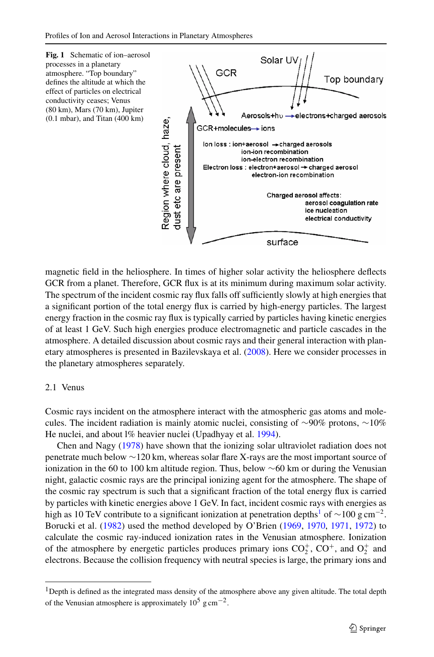<span id="page-2-0"></span>

magnetic field in the heliosphere. In times of higher solar activity the heliosphere deflects GCR from a planet. Therefore, GCR flux is at its minimum during maximum solar activity. The spectrum of the incident cosmic ray flux falls off sufficiently slowly at high energies that a significant portion of the total energy flux is carried by high-energy particles. The largest energy fraction in the cosmic ray flux is typically carried by particles having kinetic energies of at least 1 GeV. Such high energies produce electromagnetic and particle cascades in the atmosphere. A detailed discussion about cosmic rays and their general interaction with planetary atmospheres is presented in Bazilevskaya et al. [\(2008](#page-16-0)). Here we consider processes in the planetary atmospheres separately.

#### 2.1 Venus

Cosmic rays incident on the atmosphere interact with the atmospheric gas atoms and molecules. The incident radiation is mainly atomic nuclei, consisting of ∼90% protons, ∼10% He nuclei, and about 1% heavier nuclei (Upadhyay et al. [1994\)](#page-18-0).

Chen and Nagy [\(1978](#page-16-0)) have shown that the ionizing solar ultraviolet radiation does not penetrate much below ∼120 km, whereas solar flare X-rays are the most important source of ionization in the 60 to 100 km altitude region. Thus, below ∼60 km or during the Venusian night, galactic cosmic rays are the principal ionizing agent for the atmosphere. The shape of the cosmic ray spectrum is such that a significant fraction of the total energy flux is carried by particles with kinetic energies above 1 GeV. In fact, incident cosmic rays with energies as high as 10 TeV contribute to a significant ionization at penetration depths<sup>1</sup> of  $\sim$ 100 g cm<sup>-2</sup>. Borucki et al. [\(1982](#page-16-0)) used the method developed by O'Brien [\(1969](#page-18-0), [1970,](#page-18-0) [1971,](#page-18-0) [1972](#page-18-0)) to calculate the cosmic ray-induced ionization rates in the Venusian atmosphere. Ionization of the atmosphere by energetic particles produces primary ions  $CO_2^+$ ,  $CO^+$ , and  $O_2^+$  and electrons. Because the collision frequency with neutral species is large, the primary ions and

<sup>&</sup>lt;sup>1</sup>Depth is defined as the integrated mass density of the atmosphere above any given altitude. The total depth of the Venusian atmosphere is approximately  $10^5$  g cm<sup>-2</sup>.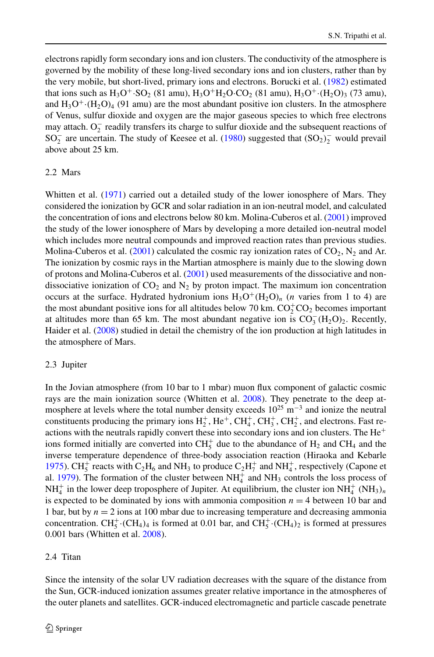electrons rapidly form secondary ions and ion clusters. The conductivity of the atmosphere is governed by the mobility of these long-lived secondary ions and ion clusters, rather than by the very mobile, but short-lived, primary ions and electrons. Borucki et al. ([1982\)](#page-16-0) estimated that ions such as  $H_3O^+$ ·SO<sub>2</sub> (81 amu),  $H_3O^+$ <sup>+</sup> $H_2O$ ·CO<sub>2</sub> (81 amu),  $H_3O^+$ · $(H_2O)_3$  (73 amu), and  $H_3O^+(H_2O)_4$  (91 amu) are the most abundant positive ion clusters. In the atmosphere of Venus, sulfur dioxide and oxygen are the major gaseous species to which free electrons may attach. O<sub>2</sub> readily transfers its charge to sulfur dioxide and the subsequent reactions of SO<sub>2</sub><sup>-</sup> are uncertain. The study of Keesee et al. ([1980\)](#page-17-0) suggested that (SO<sub>2</sub>)<sup>-</sup><sub>2</sub><sup>-</sup> would prevail above about 25 km.

### 2.2 Mars

Whitten et al. [\(1971](#page-18-0)) carried out a detailed study of the lower ionosphere of Mars. They considered the ionization by GCR and solar radiation in an ion-neutral model, and calculated the concentration of ions and electrons below 80 km. Molina-Cuberos et al. ([2001](#page-17-0)) improved the study of the lower ionosphere of Mars by developing a more detailed ion-neutral model which includes more neutral compounds and improved reaction rates than previous studies. Molina-Cuberos et al. [\(2001](#page-17-0)) calculated the cosmic ray ionization rates of  $CO_2$ ,  $N_2$  and Ar. The ionization by cosmic rays in the Martian atmosphere is mainly due to the slowing down of protons and Molina-Cuberos et al. [\(2001](#page-17-0)) used measurements of the dissociative and nondissociative ionization of  $CO<sub>2</sub>$  and  $N<sub>2</sub>$  by proton impact. The maximum ion concentration occurs at the surface. Hydrated hydronium ions  $H_3O^+(H_2O)_n$  (*n* varies from 1 to 4) are the most abundant positive ions for all altitudes below 70 km.  $CO<sub>2</sub><sup>+</sup>CO<sub>2</sub>$  becomes important at altitudes more than 65 km. The most abundant negative ion is  $CO_3^-(H_2O)_2$ . Recently, Haider et al. ([2008\)](#page-17-0) studied in detail the chemistry of the ion production at high latitudes in the atmosphere of Mars.

### 2.3 Jupiter

In the Jovian atmosphere (from 10 bar to 1 mbar) muon flux component of galactic cosmic rays are the main ionization source (Whitten et al. [2008](#page-18-0)). They penetrate to the deep atmosphere at levels where the total number density exceeds  $10^{25}$  m<sup>-3</sup> and ionize the neutral constituents producing the primary ions  $H_2^+$ ,  $He^+$ ,  $CH_4^+$ ,  $CH_3^+$ ,  $CH_2^+$ , and electrons. Fast reactions with the neutrals rapidly convert these into secondary ions and ion clusters. The  $He<sup>+</sup>$ ions formed initially are converted into  $CH_5^+$  due to the abundance of  $H_2$  and  $CH_4$  and the inverse temperature dependence of three-body association reaction (Hiraoka and Kebarle [1975\)](#page-17-0). CH<sub>3</sub><sup>+</sup> reacts with C<sub>2</sub>H<sub>6</sub> and NH<sub>3</sub> to produce C<sub>2</sub>H<sub>7</sub><sup>+</sup> and NH<sub>4</sub><sup>+</sup>, respectively (Capone et al. [1979\)](#page-16-0). The formation of the cluster between  $NH_4^+$  and  $NH_3$  controls the loss process of  $NH_4^+$  in the lower deep troposphere of Jupiter. At equilibrium, the cluster ion  $NH_4^+$  (NH<sub>3</sub>)<sub>n</sub> is expected to be dominated by ions with ammonia composition  $n = 4$  between 10 bar and 1 bar, but by *n* = 2 ions at 100 mbar due to increasing temperature and decreasing ammonia concentration.  $CH_5^+$ ·*(CH<sub>4</sub>)*<sub>4</sub> is formed at 0.01 bar, and  $CH_5^+$ ·*(CH<sub>4</sub>)*<sub>2</sub> is formed at pressures 0.001 bars (Whitten et al. [2008](#page-18-0)).

### 2.4 Titan

Since the intensity of the solar UV radiation decreases with the square of the distance from the Sun, GCR-induced ionization assumes greater relative importance in the atmospheres of the outer planets and satellites. GCR-induced electromagnetic and particle cascade penetrate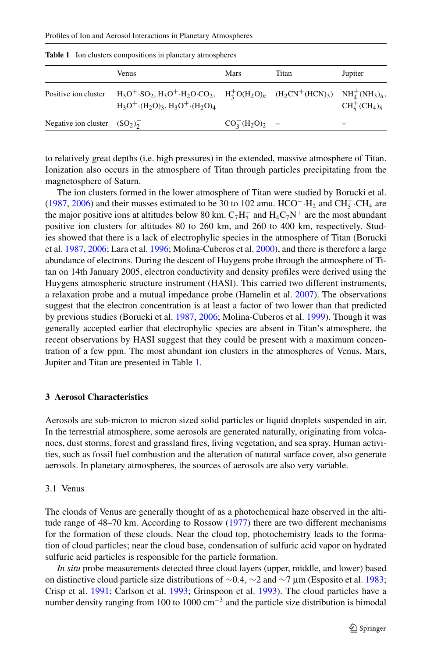|                                   | Venus                                                                                                                                                                                                                                                            | <b>Mars</b>         | Titan | Jupiter      |
|-----------------------------------|------------------------------------------------------------------------------------------------------------------------------------------------------------------------------------------------------------------------------------------------------------------|---------------------|-------|--------------|
| Positive ion cluster              | $H_3O^+$ · SO <sub>2</sub> , $H_3O^+$ · H <sub>2</sub> O·CO <sub>2</sub> , $H_3^+O(H_2O)_n$ (H <sub>2</sub> CN <sup>+</sup> (HCN) <sub>3</sub> ) NH <sub>4</sub> <sup>+</sup> (NH <sub>3</sub> ) <sub>n</sub> ,<br>$H_3O^+$ · $(H_2O)_3$ , $H_3O^+$ · $(H_2O)_4$ |                     |       | $CH5+(CH4)n$ |
| Negative ion cluster $(SO_2)_2^-$ |                                                                                                                                                                                                                                                                  | $CO_3^- (H_2O)_2$ – |       |              |

<span id="page-4-0"></span>**Table 1** Ion clusters compositions in planetary atmospheres

to relatively great depths (i.e. high pressures) in the extended, massive atmosphere of Titan. Ionization also occurs in the atmosphere of Titan through particles precipitating from the magnetosphere of Saturn.

The ion clusters formed in the lower atmosphere of Titan were studied by Borucki et al. ([1987,](#page-16-0) [2006\)](#page-16-0) and their masses estimated to be 30 to 102 amu.  $HCO^+ \cdot H_2$  and  $CH_5^+ \cdot CH_4$  are the major positive ions at altitudes below 80 km.  $C_7H_7^+$  and  $H_4C_7N^+$  are the most abundant positive ion clusters for altitudes 80 to 260 km, and 260 to 400 km, respectively. Studies showed that there is a lack of electrophylic species in the atmosphere of Titan (Borucki et al. [1987,](#page-16-0) [2006;](#page-16-0) Lara et al. [1996;](#page-17-0) Molina-Cuberos et al. [2000](#page-17-0)), and there is therefore a large abundance of electrons. During the descent of Huygens probe through the atmosphere of Titan on 14th January 2005, electron conductivity and density profiles were derived using the Huygens atmospheric structure instrument (HASI). This carried two different instruments, a relaxation probe and a mutual impedance probe (Hamelin et al. [2007](#page-17-0)). The observations suggest that the electron concentration is at least a factor of two lower than that predicted by previous studies (Borucki et al. [1987,](#page-16-0) [2006](#page-16-0); Molina-Cuberos et al. [1999\)](#page-17-0). Though it was generally accepted earlier that electrophylic species are absent in Titan's atmosphere, the recent observations by HASI suggest that they could be present with a maximum concentration of a few ppm. The most abundant ion clusters in the atmospheres of Venus, Mars, Jupiter and Titan are presented in Table 1.

### **3 Aerosol Characteristics**

Aerosols are sub-micron to micron sized solid particles or liquid droplets suspended in air. In the terrestrial atmosphere, some aerosols are generated naturally, originating from volcanoes, dust storms, forest and grassland fires, living vegetation, and sea spray. Human activities, such as fossil fuel combustion and the alteration of natural surface cover, also generate aerosols. In planetary atmospheres, the sources of aerosols are also very variable.

#### 3.1 Venus

The clouds of Venus are generally thought of as a photochemical haze observed in the altitude range of 48–70 km. According to Rossow ([1977\)](#page-18-0) there are two different mechanisms for the formation of these clouds. Near the cloud top, photochemistry leads to the formation of cloud particles; near the cloud base, condensation of sulfuric acid vapor on hydrated sulfuric acid particles is responsible for the particle formation.

*In situ* probe measurements detected three cloud layers (upper, middle, and lower) based on distinctive cloud particle size distributions of ∼0*.*4, ∼2 and ∼7 μm (Esposito et al. [1983;](#page-17-0) Crisp et al. [1991;](#page-16-0) Carlson et al. [1993](#page-16-0); Grinspoon et al. [1993\)](#page-17-0). The cloud particles have a number density ranging from 100 to 1000  $\text{cm}^{-3}$  and the particle size distribution is bimodal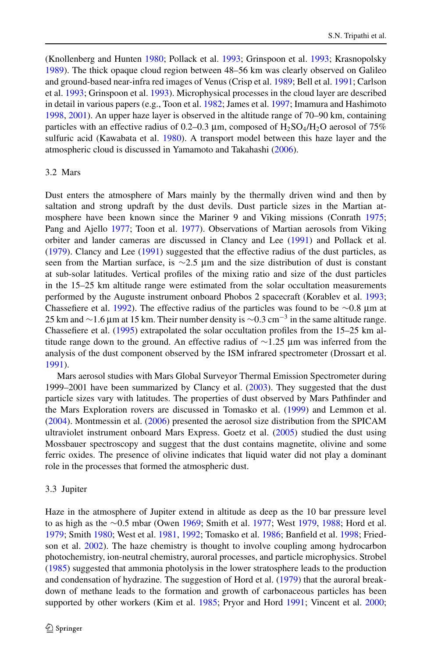(Knollenberg and Hunten [1980;](#page-17-0) Pollack et al. [1993;](#page-18-0) Grinspoon et al. [1993](#page-17-0); Krasnopolsky [1989\)](#page-17-0). The thick opaque cloud region between 48–56 km was clearly observed on Galileo and ground-based near-infra red images of Venus (Crisp et al. [1989](#page-16-0); Bell et al. [1991](#page-16-0); Carlson et al. [1993](#page-16-0); Grinspoon et al. [1993](#page-17-0)). Microphysical processes in the cloud layer are described in detail in various papers (e.g., Toon et al. [1982](#page-18-0); James et al. [1997;](#page-17-0) Imamura and Hashimoto [1998,](#page-17-0) [2001](#page-17-0)). An upper haze layer is observed in the altitude range of 70–90 km, containing particles with an effective radius of 0.2–0.3  $\mu$ m, composed of H<sub>2</sub>SO<sub>4</sub>/H<sub>2</sub>O aerosol of 75% sulfuric acid (Kawabata et al. [1980\)](#page-17-0). A transport model between this haze layer and the atmospheric cloud is discussed in Yamamoto and Takahashi [\(2006\)](#page-18-0).

#### 3.2 Mars

Dust enters the atmosphere of Mars mainly by the thermally driven wind and then by saltation and strong updraft by the dust devils. Dust particle sizes in the Martian atmosphere have been known since the Mariner 9 and Viking missions (Conrath [1975;](#page-16-0) Pang and Ajello [1977](#page-18-0); Toon et al. [1977](#page-18-0)). Observations of Martian aerosols from Viking orbiter and lander cameras are discussed in Clancy and Lee [\(1991](#page-16-0)) and Pollack et al. ([1979\)](#page-18-0). Clancy and Lee [\(1991](#page-16-0)) suggested that the effective radius of the dust particles, as seen from the Martian surface, is ∼2*.*5 μm and the size distribution of dust is constant at sub-solar latitudes. Vertical profiles of the mixing ratio and size of the dust particles in the 15–25 km altitude range were estimated from the solar occultation measurements performed by the Auguste instrument onboard Phobos 2 spacecraft (Korablev et al. [1993;](#page-17-0) Chassefiere et al. [1992](#page-16-0)). The effective radius of the particles was found to be ∼0*.*8 μm at 25 km and  $\sim$ 1.6 µm at 15 km. Their number density is  $\sim$ 0.3 cm<sup>-3</sup> in the same altitude range. Chassefiere et al. [\(1995](#page-16-0)) extrapolated the solar occultation profiles from the 15–25 km altitude range down to the ground. An effective radius of ∼1*.*25 μm was inferred from the analysis of the dust component observed by the ISM infrared spectrometer (Drossart et al. [1991\)](#page-16-0).

Mars aerosol studies with Mars Global Surveyor Thermal Emission Spectrometer during 1999–2001 have been summarized by Clancy et al. [\(2003](#page-16-0)). They suggested that the dust particle sizes vary with latitudes. The properties of dust observed by Mars Pathfinder and the Mars Exploration rovers are discussed in Tomasko et al. ([1999\)](#page-18-0) and Lemmon et al. ([2004\)](#page-17-0). Montmessin et al. ([2006\)](#page-17-0) presented the aerosol size distribution from the SPICAM ultraviolet instrument onboard Mars Express. Goetz et al. [\(2005](#page-17-0)) studied the dust using Mossbauer spectroscopy and suggest that the dust contains magnetite, olivine and some ferric oxides. The presence of olivine indicates that liquid water did not play a dominant role in the processes that formed the atmospheric dust.

#### 3.3 Jupiter

Haze in the atmosphere of Jupiter extend in altitude as deep as the 10 bar pressure level to as high as the ∼0.5 mbar (Owen [1969](#page-18-0); Smith et al. [1977;](#page-18-0) West [1979,](#page-18-0) [1988;](#page-18-0) Hord et al. [1979;](#page-17-0) Smith [1980;](#page-18-0) West et al. [1981](#page-18-0), [1992;](#page-18-0) Tomasko et al. [1986](#page-18-0); Banfield et al. [1998](#page-16-0); Friedson et al. [2002](#page-17-0)). The haze chemistry is thought to involve coupling among hydrocarbon photochemistry, ion-neutral chemistry, auroral processes, and particle microphysics. Strobel ([1985\)](#page-18-0) suggested that ammonia photolysis in the lower stratosphere leads to the production and condensation of hydrazine. The suggestion of Hord et al. ([1979\)](#page-17-0) that the auroral breakdown of methane leads to the formation and growth of carbonaceous particles has been supported by other workers (Kim et al. [1985](#page-17-0); Pryor and Hord [1991;](#page-18-0) Vincent et al. [2000;](#page-18-0)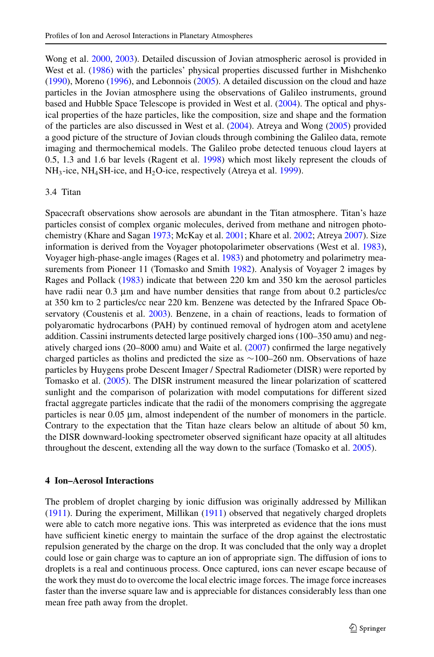<span id="page-6-0"></span>Wong et al. [2000,](#page-18-0) [2003\)](#page-18-0). Detailed discussion of Jovian atmospheric aerosol is provided in West et al. ([1986\)](#page-18-0) with the particles' physical properties discussed further in Mishchenko ([1990\)](#page-17-0), Moreno [\(1996](#page-18-0)), and Lebonnois [\(2005](#page-17-0)). A detailed discussion on the cloud and haze particles in the Jovian atmosphere using the observations of Galileo instruments, ground based and Hubble Space Telescope is provided in West et al. ([2004\)](#page-18-0). The optical and physical properties of the haze particles, like the composition, size and shape and the formation of the particles are also discussed in West et al. [\(2004\)](#page-18-0). Atreya and Wong [\(2005](#page-16-0)) provided a good picture of the structure of Jovian clouds through combining the Galileo data, remote imaging and thermochemical models. The Galileo probe detected tenuous cloud layers at 0.5, 1.3 and 1.6 bar levels (Ragent et al. [1998](#page-18-0)) which most likely represent the clouds of  $NH<sub>3</sub>$ -ice, NH<sub>4</sub>SH-ice, and H<sub>2</sub>O-ice, respectively (Atreya et al. [1999](#page-16-0)).

#### 3.4 Titan

Spacecraft observations show aerosols are abundant in the Titan atmosphere. Titan's haze particles consist of complex organic molecules, derived from methane and nitrogen photochemistry (Khare and Sagan [1973](#page-17-0); McKay et al. [2001](#page-17-0); Khare et al. [2002](#page-17-0); Atreya [2007\)](#page-16-0). Size information is derived from the Voyager photopolarimeter observations (West et al. [1983](#page-18-0)), Voyager high-phase-angle images (Rages et al. [1983](#page-18-0)) and photometry and polarimetry measurements from Pioneer 11 (Tomasko and Smith [1982\)](#page-18-0). Analysis of Voyager 2 images by Rages and Pollack [\(1983](#page-18-0)) indicate that between 220 km and 350 km the aerosol particles have radii near 0.3 μm and have number densities that range from about 0.2 particles/cc at 350 km to 2 particles/cc near 220 km. Benzene was detected by the Infrared Space Observatory (Coustenis et al. [2003](#page-16-0)). Benzene, in a chain of reactions, leads to formation of polyaromatic hydrocarbons (PAH) by continued removal of hydrogen atom and acetylene addition. Cassini instruments detected large positively charged ions (100–350 amu) and negatively charged ions (20–8000 amu) and Waite et al. [\(2007](#page-18-0)) confirmed the large negatively charged particles as tholins and predicted the size as  $\sim$ 100–260 nm. Observations of haze particles by Huygens probe Descent Imager / Spectral Radiometer (DISR) were reported by Tomasko et al. [\(2005](#page-18-0)). The DISR instrument measured the linear polarization of scattered sunlight and the comparison of polarization with model computations for different sized fractal aggregate particles indicate that the radii of the monomers comprising the aggregate particles is near 0.05 μm, almost independent of the number of monomers in the particle. Contrary to the expectation that the Titan haze clears below an altitude of about 50 km, the DISR downward-looking spectrometer observed significant haze opacity at all altitudes throughout the descent, extending all the way down to the surface (Tomasko et al. [2005](#page-18-0)).

#### **4 Ion–Aerosol Interactions**

The problem of droplet charging by ionic diffusion was originally addressed by Millikan ([1911\)](#page-17-0). During the experiment, Millikan [\(1911](#page-17-0)) observed that negatively charged droplets were able to catch more negative ions. This was interpreted as evidence that the ions must have sufficient kinetic energy to maintain the surface of the drop against the electrostatic repulsion generated by the charge on the drop. It was concluded that the only way a droplet could lose or gain charge was to capture an ion of appropriate sign. The diffusion of ions to droplets is a real and continuous process. Once captured, ions can never escape because of the work they must do to overcome the local electric image forces. The image force increases faster than the inverse square law and is appreciable for distances considerably less than one mean free path away from the droplet.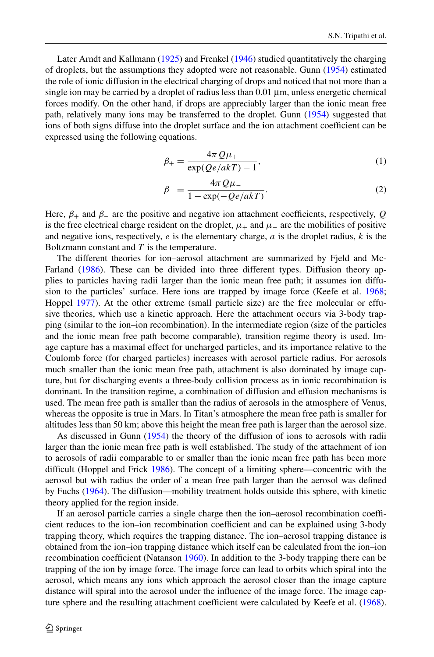Later Arndt and Kallmann ([1925\)](#page-16-0) and Frenkel [\(1946](#page-17-0)) studied quantitatively the charging of droplets, but the assumptions they adopted were not reasonable. Gunn [\(1954](#page-17-0)) estimated the role of ionic diffusion in the electrical charging of drops and noticed that not more than a single ion may be carried by a droplet of radius less than  $0.01 \mu m$ , unless energetic chemical forces modify. On the other hand, if drops are appreciably larger than the ionic mean free path, relatively many ions may be transferred to the droplet. Gunn [\(1954](#page-17-0)) suggested that ions of both signs diffuse into the droplet surface and the ion attachment coefficient can be expressed using the following equations.

$$
\beta_{+} = \frac{4\pi Q\mu_{+}}{\exp(Qe/akT) - 1},\tag{1}
$$

$$
\beta_{-} = \frac{4\pi Q\mu_{-}}{1 - \exp(-Qe/akT)}.
$$
\n(2)

Here, *β*<sup>+</sup> and *β*<sup>−</sup> are the positive and negative ion attachment coefficients, respectively, *Q* is the free electrical charge resident on the droplet,  $\mu_+$  and  $\mu_-$  are the mobilities of positive and negative ions, respectively, *e* is the elementary charge, *a* is the droplet radius, *k* is the Boltzmann constant and *T* is the temperature.

The different theories for ion–aerosol attachment are summarized by Fjeld and Mc-Farland [\(1986](#page-17-0)). These can be divided into three different types. Diffusion theory applies to particles having radii larger than the ionic mean free path; it assumes ion diffusion to the particles' surface. Here ions are trapped by image force (Keefe et al. [1968;](#page-17-0) Hoppel [1977](#page-17-0)). At the other extreme (small particle size) are the free molecular or effusive theories, which use a kinetic approach. Here the attachment occurs via 3-body trapping (similar to the ion–ion recombination). In the intermediate region (size of the particles and the ionic mean free path become comparable), transition regime theory is used. Image capture has a maximal effect for uncharged particles, and its importance relative to the Coulomb force (for charged particles) increases with aerosol particle radius. For aerosols much smaller than the ionic mean free path, attachment is also dominated by image capture, but for discharging events a three-body collision process as in ionic recombination is dominant. In the transition regime, a combination of diffusion and effusion mechanisms is used. The mean free path is smaller than the radius of aerosols in the atmosphere of Venus, whereas the opposite is true in Mars. In Titan's atmosphere the mean free path is smaller for altitudes less than 50 km; above this height the mean free path is larger than the aerosol size.

As discussed in Gunn ([1954\)](#page-17-0) the theory of the diffusion of ions to aerosols with radii larger than the ionic mean free path is well established. The study of the attachment of ion to aerosols of radii comparable to or smaller than the ionic mean free path has been more difficult (Hoppel and Frick [1986](#page-17-0)). The concept of a limiting sphere—concentric with the aerosol but with radius the order of a mean free path larger than the aerosol was defined by Fuchs [\(1964](#page-17-0)). The diffusion—mobility treatment holds outside this sphere, with kinetic theory applied for the region inside.

If an aerosol particle carries a single charge then the ion–aerosol recombination coefficient reduces to the ion–ion recombination coefficient and can be explained using 3-body trapping theory, which requires the trapping distance. The ion–aerosol trapping distance is obtained from the ion–ion trapping distance which itself can be calculated from the ion–ion recombination coefficient (Natanson [1960\)](#page-18-0). In addition to the 3-body trapping there can be trapping of the ion by image force. The image force can lead to orbits which spiral into the aerosol, which means any ions which approach the aerosol closer than the image capture distance will spiral into the aerosol under the influence of the image force. The image capture sphere and the resulting attachment coefficient were calculated by Keefe et al. [\(1968](#page-17-0)).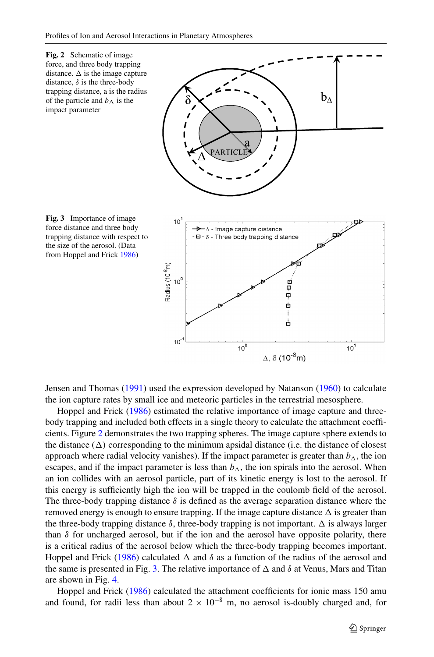

Jensen and Thomas [\(1991](#page-17-0)) used the expression developed by Natanson [\(1960](#page-18-0)) to calculate the ion capture rates by small ice and meteoric particles in the terrestrial mesosphere.

Hoppel and Frick ([1986\)](#page-17-0) estimated the relative importance of image capture and threebody trapping and included both effects in a single theory to calculate the attachment coefficients. Figure 2 demonstrates the two trapping spheres. The image capture sphere extends to the distance  $(\Delta)$  corresponding to the minimum apsidal distance (i.e. the distance of closest approach where radial velocity vanishes). If the impact parameter is greater than  $b_{\Delta}$ , the ion escapes, and if the impact parameter is less than  $b<sub>A</sub>$ , the ion spirals into the aerosol. When an ion collides with an aerosol particle, part of its kinetic energy is lost to the aerosol. If this energy is sufficiently high the ion will be trapped in the coulomb field of the aerosol. The three-body trapping distance  $\delta$  is defined as the average separation distance where the removed energy is enough to ensure trapping. If the image capture distance  $\Delta$  is greater than the three-body trapping distance  $\delta$ , three-body trapping is not important.  $\Delta$  is always larger than  $\delta$  for uncharged aerosol, but if the ion and the aerosol have opposite polarity, there is a critical radius of the aerosol below which the three-body trapping becomes important. Hoppel and Frick ([1986\)](#page-17-0) calculated  $\Delta$  and  $\delta$  as a function of the radius of the aerosol and the same is presented in Fig. 3. The relative importance of  $\Delta$  and  $\delta$  at Venus, Mars and Titan are shown in Fig. [4](#page-9-0).

Hoppel and Frick ([1986\)](#page-17-0) calculated the attachment coefficients for ionic mass 150 amu and found, for radii less than about  $2 \times 10^{-8}$  m, no aerosol is-doubly charged and, for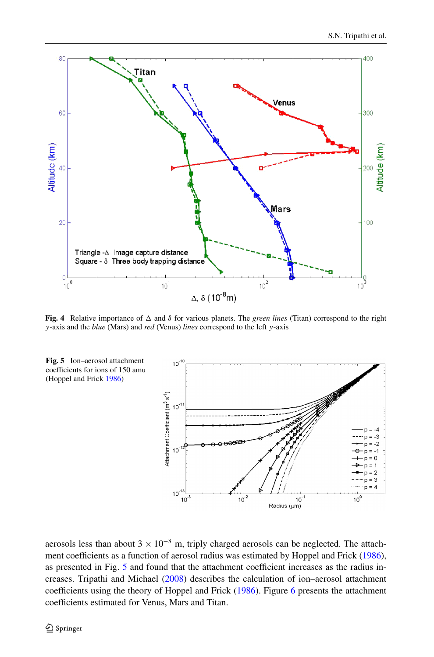<span id="page-9-0"></span>

**Fig. 4** Relative importance of  $\Delta$  and  $\delta$  for various planets. The *green lines* (Titan) correspond to the right *y*-axis and the *blue* (Mars) and *red* (Venus) *lines* correspond to the left *y*-axis



aerosols less than about  $3 \times 10^{-8}$  m, triply charged aerosols can be neglected. The attachment coefficients as a function of aerosol radius was estimated by Hoppel and Frick [\(1986](#page-17-0)), as presented in Fig. 5 and found that the attachment coefficient increases as the radius increases. Tripathi and Michael [\(2008](#page-18-0)) describes the calculation of ion–aerosol attachment coefficients using the theory of Hoppel and Frick ([1986\)](#page-17-0). Figure [6](#page-10-0) presents the attachment coefficients estimated for Venus, Mars and Titan.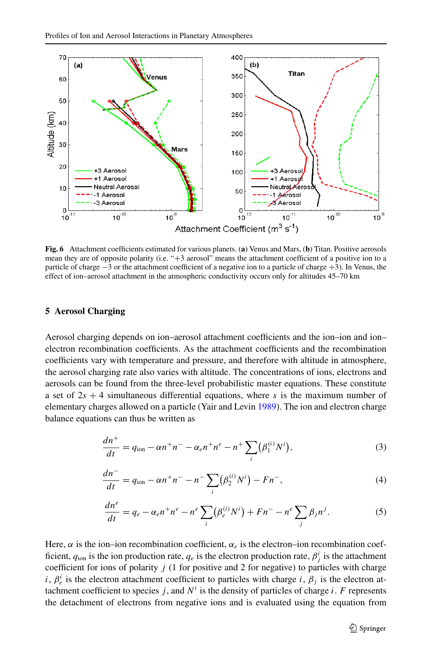<span id="page-10-0"></span>

**Fig. 6** Attachment coefficients estimated for various planets. (**a**) Venus and Mars, (**b**) Titan. Positive aerosols mean they are of opposite polarity (i.e. "+3 aerosol" means the attachment coefficient of a positive ion to a particle of charge −3 or the attachment coefficient of a negative ion to a particle of charge +3). In Venus, the effect of ion–aerosol attachment in the atmospheric conductivity occurs only for altitudes 45–70 km

#### **5 Aerosol Charging**

Aerosol charging depends on ion–aerosol attachment coefficients and the ion–ion and ion– electron recombination coefficients. As the attachment coefficients and the recombination coefficients vary with temperature and pressure, and therefore with altitude in atmosphere, the aerosol charging rate also varies with altitude. The concentrations of ions, electrons and aerosols can be found from the three-level probabilistic master equations. These constitute a set of  $2s + 4$  simultaneous differential equations, where *s* is the maximum number of elementary charges allowed on a particle (Yair and Levin [1989\)](#page-18-0). The ion and electron charge balance equations can thus be written as

$$
\frac{dn^{+}}{dt} = q_{\text{ion}} - \alpha n^{+} n^{-} - \alpha_{e} n^{+} n^{e} - n^{+} \sum_{i} (\beta_{1}^{(i)} N^{i}), \qquad (3)
$$

$$
\frac{dn^{-}}{dt} = q_{\text{ion}} - \alpha n^{+} n^{-} - n^{-} \sum_{i} (\beta_2^{(i)} N^{i}) - F n^{-},
$$
\n(4)

$$
\frac{dn^e}{dt} = q_e - \alpha_e n^+ n^e - n^e \sum_i (\beta_e^{(i)} N^i) + F n^- - n^e \sum_j \beta_j n^j.
$$
 (5)

Here,  $\alpha$  is the ion–ion recombination coefficient,  $\alpha_e$  is the electron–ion recombination coefficient,  $q_{\text{ion}}$  is the ion production rate,  $q_e$  is the electron production rate,  $\beta_j^i$  is the attachment coefficient for ions of polarity  $j$  (1 for positive and 2 for negative) to particles with charge *i*,  $\beta_e^i$  is the electron attachment coefficient to particles with charge *i*,  $\beta_j$  is the electron attachment coefficient to species  $j$ , and  $N^i$  is the density of particles of charge  $i$ .  $F$  represents the detachment of electrons from negative ions and is evaluated using the equation from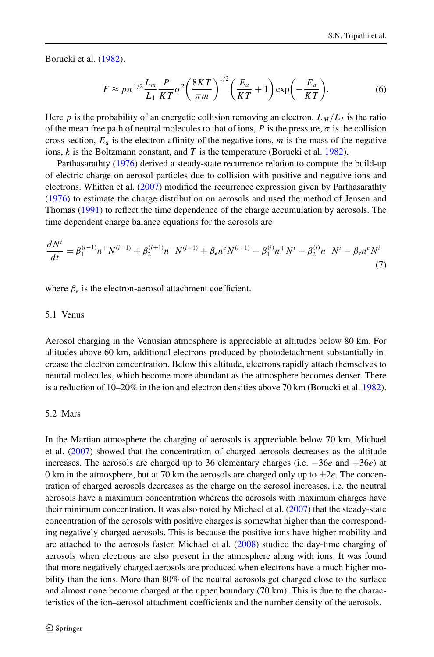Borucki et al. ([1982\)](#page-16-0).

$$
F \approx p\pi^{1/2} \frac{L_m}{L_1} \frac{P}{KT} \sigma^2 \left(\frac{8KT}{\pi m}\right)^{1/2} \left(\frac{E_a}{KT} + 1\right) \exp\left(-\frac{E_a}{KT}\right). \tag{6}
$$

Here *p* is the probability of an energetic collision removing an electron,  $L_M/L_I$  is the ratio of the mean free path of neutral molecules to that of ions,  $P$  is the pressure,  $\sigma$  is the collision cross section,  $E_a$  is the electron affinity of the negative ions,  $m$  is the mass of the negative ions, *k* is the Boltzmann constant, and *T* is the temperature (Borucki et al. [1982\)](#page-16-0).

Parthasarathty [\(1976](#page-18-0)) derived a steady-state recurrence relation to compute the build-up of electric charge on aerosol particles due to collision with positive and negative ions and electrons. Whitten et al. [\(2007](#page-18-0)) modified the recurrence expression given by Parthasarathty ([1976\)](#page-18-0) to estimate the charge distribution on aerosols and used the method of Jensen and Thomas ([1991\)](#page-17-0) to reflect the time dependence of the charge accumulation by aerosols. The time dependent charge balance equations for the aerosols are

$$
\frac{dN^i}{dt} = \beta_1^{(i-1)}n^+N^{(i-1)} + \beta_2^{(i+1)}n^-N^{(i+1)} + \beta_e n^e N^{(i+1)} - \beta_1^{(i)}n^+N^i - \beta_2^{(i)}n^-N^i - \beta_e n^e N^i
$$
\n(7)

where  $\beta_e$  is the electron-aerosol attachment coefficient.

### 5.1 Venus

*dN<sup>i</sup>*

Aerosol charging in the Venusian atmosphere is appreciable at altitudes below 80 km. For altitudes above 60 km, additional electrons produced by photodetachment substantially increase the electron concentration. Below this altitude, electrons rapidly attach themselves to neutral molecules, which become more abundant as the atmosphere becomes denser. There is a reduction of 10–20% in the ion and electron densities above 70 km (Borucki et al. [1982](#page-16-0)).

#### 5.2 Mars

In the Martian atmosphere the charging of aerosols is appreciable below 70 km. Michael et al. [\(2007\)](#page-17-0) showed that the concentration of charged aerosols decreases as the altitude increases. The aerosols are charged up to 36 elementary charges (i.e. −36*e* and +36*e)* at 0 km in the atmosphere, but at 70 km the aerosols are charged only up to  $\pm$ 2*e*. The concentration of charged aerosols decreases as the charge on the aerosol increases, i.e. the neutral aerosols have a maximum concentration whereas the aerosols with maximum charges have their minimum concentration. It was also noted by Michael et al.  $(2007)$  $(2007)$  that the steady-state concentration of the aerosols with positive charges is somewhat higher than the corresponding negatively charged aerosols. This is because the positive ions have higher mobility and are attached to the aerosols faster. Michael et al. [\(2008](#page-17-0)) studied the day-time charging of aerosols when electrons are also present in the atmosphere along with ions. It was found that more negatively charged aerosols are produced when electrons have a much higher mobility than the ions. More than 80% of the neutral aerosols get charged close to the surface and almost none become charged at the upper boundary (70 km). This is due to the characteristics of the ion–aerosol attachment coefficients and the number density of the aerosols.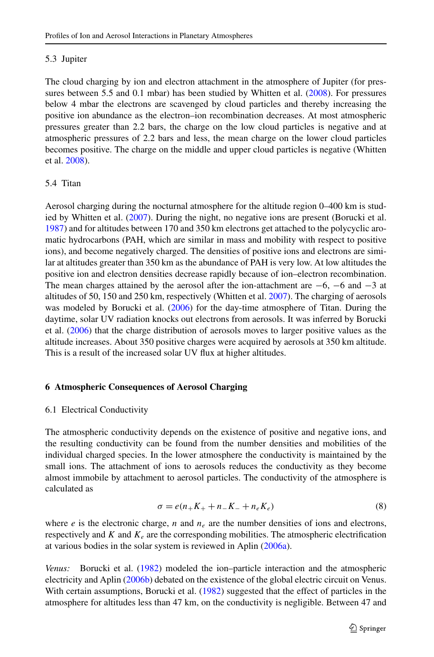# <span id="page-12-0"></span>5.3 Jupiter

The cloud charging by ion and electron attachment in the atmosphere of Jupiter (for pressures between 5.5 and 0.1 mbar) has been studied by Whitten et al. ([2008\)](#page-18-0). For pressures below 4 mbar the electrons are scavenged by cloud particles and thereby increasing the positive ion abundance as the electron–ion recombination decreases. At most atmospheric pressures greater than 2.2 bars, the charge on the low cloud particles is negative and at atmospheric pressures of 2.2 bars and less, the mean charge on the lower cloud particles becomes positive. The charge on the middle and upper cloud particles is negative (Whitten et al. [2008\)](#page-18-0).

## 5.4 Titan

Aerosol charging during the nocturnal atmosphere for the altitude region 0–400 km is studied by Whitten et al. ([2007\)](#page-18-0). During the night, no negative ions are present (Borucki et al. [1987\)](#page-16-0) and for altitudes between 170 and 350 km electrons get attached to the polycyclic aromatic hydrocarbons (PAH, which are similar in mass and mobility with respect to positive ions), and become negatively charged. The densities of positive ions and electrons are similar at altitudes greater than 350 km as the abundance of PAH is very low. At low altitudes the positive ion and electron densities decrease rapidly because of ion–electron recombination. The mean charges attained by the aerosol after the ion-attachment are  $-6$ ,  $-6$  and  $-3$  at altitudes of 50, 150 and 250 km, respectively (Whitten et al. [2007](#page-18-0)). The charging of aerosols was modeled by Borucki et al. [\(2006](#page-16-0)) for the day-time atmosphere of Titan. During the daytime, solar UV radiation knocks out electrons from aerosols. It was inferred by Borucki et al. ([2006\)](#page-16-0) that the charge distribution of aerosols moves to larger positive values as the altitude increases. About 350 positive charges were acquired by aerosols at 350 km altitude. This is a result of the increased solar UV flux at higher altitudes.

### **6 Atmospheric Consequences of Aerosol Charging**

### 6.1 Electrical Conductivity

The atmospheric conductivity depends on the existence of positive and negative ions, and the resulting conductivity can be found from the number densities and mobilities of the individual charged species. In the lower atmosphere the conductivity is maintained by the small ions. The attachment of ions to aerosols reduces the conductivity as they become almost immobile by attachment to aerosol particles. The conductivity of the atmosphere is calculated as

$$
\sigma = e(n_{+}K_{+} + n_{-}K_{-} + n_{e}K_{e})
$$
\n(8)

where  $e$  is the electronic charge,  $n$  and  $n_e$  are the number densities of ions and electrons, respectively and  $K$  and  $K_e$  are the corresponding mobilities. The atmospheric electrification at various bodies in the solar system is reviewed in Aplin [\(2006a](#page-16-0)).

*Venus:* Borucki et al. ([1982\)](#page-16-0) modeled the ion–particle interaction and the atmospheric electricity and Aplin ([2006b\)](#page-16-0) debated on the existence of the global electric circuit on Venus. With certain assumptions, Borucki et al. ([1982\)](#page-16-0) suggested that the effect of particles in the atmosphere for altitudes less than 47 km, on the conductivity is negligible. Between 47 and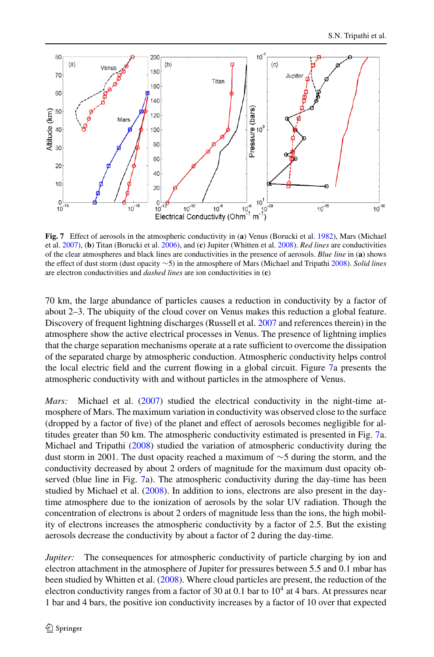<span id="page-13-0"></span>

**Fig. 7** Effect of aerosols in the atmospheric conductivity in (**a**) Venus (Borucki et al. [1982\)](#page-16-0), Mars (Michael et al. [2007](#page-17-0)), (**b**) Titan (Borucki et al. [2006](#page-16-0)), and (**c**) Jupiter (Whitten et al. [2008](#page-18-0)). *Red lines* are conductivities of the clear atmospheres and black lines are conductivities in the presence of aerosols. *Blue line* in (**a**) shows the effect of dust storm (dust opacity ∼5) in the atmosphere of Mars (Michael and Tripathi [2008\)](#page-17-0). *Solid lines* are electron conductivities and *dashed lines* are ion conductivities in (**c**)

70 km, the large abundance of particles causes a reduction in conductivity by a factor of about 2–3. The ubiquity of the cloud cover on Venus makes this reduction a global feature. Discovery of frequent lightning discharges (Russell et al. [2007](#page-18-0) and references therein) in the atmosphere show the active electrical processes in Venus. The presence of lightning implies that the charge separation mechanisms operate at a rate sufficient to overcome the dissipation of the separated charge by atmospheric conduction. Atmospheric conductivity helps control the local electric field and the current flowing in a global circuit. Figure 7a presents the atmospheric conductivity with and without particles in the atmosphere of Venus.

*Mars:* Michael et al. [\(2007\)](#page-17-0) studied the electrical conductivity in the night-time atmosphere of Mars. The maximum variation in conductivity was observed close to the surface (dropped by a factor of five) of the planet and effect of aerosols becomes negligible for altitudes greater than 50 km. The atmospheric conductivity estimated is presented in Fig. 7a. Michael and Tripathi ([2008\)](#page-17-0) studied the variation of atmospheric conductivity during the dust storm in 2001. The dust opacity reached a maximum of ∼5 during the storm, and the conductivity decreased by about 2 orders of magnitude for the maximum dust opacity observed (blue line in Fig. 7a). The atmospheric conductivity during the day-time has been studied by Michael et al. [\(2008](#page-17-0)). In addition to ions, electrons are also present in the daytime atmosphere due to the ionization of aerosols by the solar UV radiation. Though the concentration of electrons is about 2 orders of magnitude less than the ions, the high mobility of electrons increases the atmospheric conductivity by a factor of 2.5. But the existing aerosols decrease the conductivity by about a factor of 2 during the day-time.

*Jupiter:* The consequences for atmospheric conductivity of particle charging by ion and electron attachment in the atmosphere of Jupiter for pressures between 5.5 and 0.1 mbar has been studied by Whitten et al. [\(2008](#page-18-0)). Where cloud particles are present, the reduction of the electron conductivity ranges from a factor of 30 at 0.1 bar to  $10^4$  at 4 bars. At pressures near 1 bar and 4 bars, the positive ion conductivity increases by a factor of 10 over that expected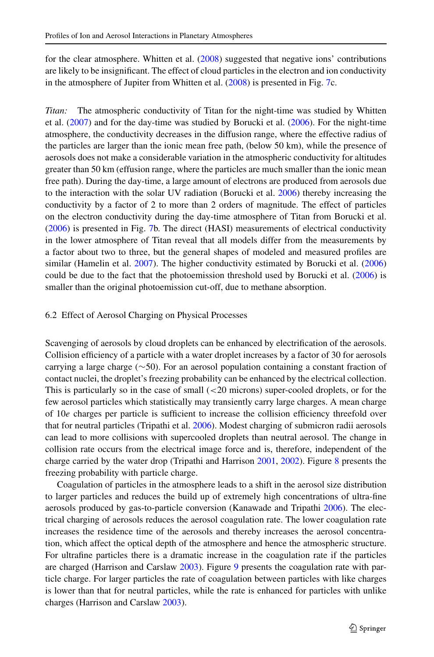for the clear atmosphere. Whitten et al. [\(2008\)](#page-18-0) suggested that negative ions' contributions are likely to be insignificant. The effect of cloud particles in the electron and ion conductivity in the atmosphere of Jupiter from Whitten et al. [\(2008](#page-18-0)) is presented in Fig. [7c](#page-13-0).

*Titan:* The atmospheric conductivity of Titan for the night-time was studied by Whitten et al. ([2007\)](#page-18-0) and for the day-time was studied by Borucki et al. ([2006\)](#page-16-0). For the night-time atmosphere, the conductivity decreases in the diffusion range, where the effective radius of the particles are larger than the ionic mean free path, (below 50 km), while the presence of aerosols does not make a considerable variation in the atmospheric conductivity for altitudes greater than 50 km (effusion range, where the particles are much smaller than the ionic mean free path). During the day-time, a large amount of electrons are produced from aerosols due to the interaction with the solar UV radiation (Borucki et al. [2006\)](#page-16-0) thereby increasing the conductivity by a factor of 2 to more than 2 orders of magnitude. The effect of particles on the electron conductivity during the day-time atmosphere of Titan from Borucki et al. ([2006\)](#page-16-0) is presented in Fig. [7b](#page-13-0). The direct (HASI) measurements of electrical conductivity in the lower atmosphere of Titan reveal that all models differ from the measurements by a factor about two to three, but the general shapes of modeled and measured profiles are similar (Hamelin et al. [2007](#page-17-0)). The higher conductivity estimated by Borucki et al. [\(2006](#page-16-0)) could be due to the fact that the photoemission threshold used by Borucki et al. [\(2006](#page-16-0)) is smaller than the original photoemission cut-off, due to methane absorption.

#### 6.2 Effect of Aerosol Charging on Physical Processes

Scavenging of aerosols by cloud droplets can be enhanced by electrification of the aerosols. Collision efficiency of a particle with a water droplet increases by a factor of 30 for aerosols carrying a large charge (∼50). For an aerosol population containing a constant fraction of contact nuclei, the droplet's freezing probability can be enhanced by the electrical collection. This is particularly so in the case of small (*<*20 microns) super-cooled droplets, or for the few aerosol particles which statistically may transiently carry large charges. A mean charge of 10*e* charges per particle is sufficient to increase the collision efficiency threefold over that for neutral particles (Tripathi et al. [2006](#page-18-0)). Modest charging of submicron radii aerosols can lead to more collisions with supercooled droplets than neutral aerosol. The change in collision rate occurs from the electrical image force and is, therefore, independent of the charge carried by the water drop (Tripathi and Harrison [2001](#page-18-0), [2002](#page-18-0)). Figure [8](#page-15-0) presents the freezing probability with particle charge.

Coagulation of particles in the atmosphere leads to a shift in the aerosol size distribution to larger particles and reduces the build up of extremely high concentrations of ultra-fine aerosols produced by gas-to-particle conversion (Kanawade and Tripathi [2006\)](#page-17-0). The electrical charging of aerosols reduces the aerosol coagulation rate. The lower coagulation rate increases the residence time of the aerosols and thereby increases the aerosol concentration, which affect the optical depth of the atmosphere and hence the atmospheric structure. For ultrafine particles there is a dramatic increase in the coagulation rate if the particles are charged (Harrison and Carslaw [2003](#page-17-0)). Figure [9](#page-15-0) presents the coagulation rate with particle charge. For larger particles the rate of coagulation between particles with like charges is lower than that for neutral particles, while the rate is enhanced for particles with unlike charges (Harrison and Carslaw [2003\)](#page-17-0).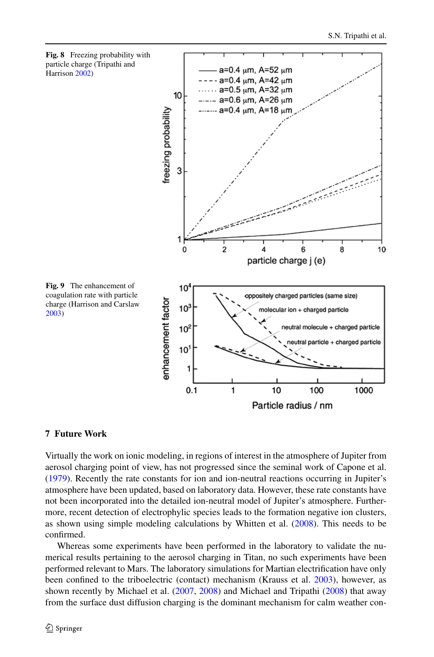<span id="page-15-0"></span>

### **7 Future Work**

Virtually the work on ionic modeling, in regions of interest in the atmosphere of Jupiter from aerosol charging point of view, has not progressed since the seminal work of Capone et al. ([1979\)](#page-16-0). Recently the rate constants for ion and ion-neutral reactions occurring in Jupiter's atmosphere have been updated, based on laboratory data. However, these rate constants have not been incorporated into the detailed ion-neutral model of Jupiter's atmosphere. Furthermore, recent detection of electrophylic species leads to the formation negative ion clusters, as shown using simple modeling calculations by Whitten et al. ([2008\)](#page-18-0). This needs to be confirmed.

Particle radius / nm

Whereas some experiments have been performed in the laboratory to validate the numerical results pertaining to the aerosol charging in Titan, no such experiments have been performed relevant to Mars. The laboratory simulations for Martian electrification have only been confined to the triboelectric (contact) mechanism (Krauss et al. [2003](#page-17-0)), however, as shown recently by Michael et al. ([2007,](#page-17-0) [2008\)](#page-17-0) and Michael and Tripathi ([2008\)](#page-17-0) that away from the surface dust diffusion charging is the dominant mechanism for calm weather con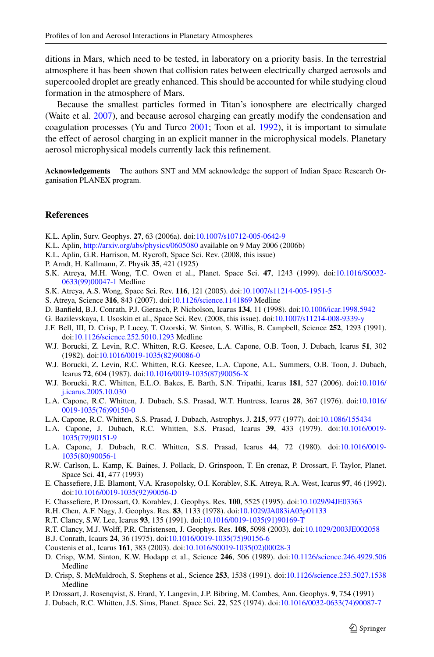<span id="page-16-0"></span>ditions in Mars, which need to be tested, in laboratory on a priority basis. In the terrestrial atmosphere it has been shown that collision rates between electrically charged aerosols and supercooled droplet are greatly enhanced. This should be accounted for while studying cloud formation in the atmosphere of Mars.

Because the smallest particles formed in Titan's ionosphere are electrically charged (Waite et al. [2007\)](#page-18-0), and because aerosol charging can greatly modify the condensation and coagulation processes (Yu and Turco [2001](#page-18-0); Toon et al. [1992\)](#page-18-0), it is important to simulate the effect of aerosol charging in an explicit manner in the microphysical models. Planetary aerosol microphysical models currently lack this refinement.

**Acknowledgements** The authors SNT and MM acknowledge the support of Indian Space Research Organisation PLANEX program.

### **References**

- K.L. Aplin, Surv. Geophys. **27**, 63 (2006a). doi[:10.1007/s10712-005-0642-9](http://dx.doi.org/10.1007/s10712-005-0642-9)
- K.L. Aplin, <http://arxiv.org/abs/physics/0605080> available on 9 May 2006 (2006b)
- K.L. Aplin, G.R. Harrison, M. Rycroft, Space Sci. Rev. (2008, this issue)
- P. Arndt, H. Kallmann, Z. Physik **35**, 421 (1925)
- S.K. Atreya, M.H. Wong, T.C. Owen et al., Planet. Space Sci. **47**, 1243 (1999). doi[:10.1016/S0032-](http://dx.doi.org/10.1016/S0032-0633(99)00047-1) [0633\(99\)00047-1](http://dx.doi.org/10.1016/S0032-0633(99)00047-1) Medline
- S.K. Atreya, A.S. Wong, Space Sci. Rev. **116**, 121 (2005). doi[:10.1007/s11214-005-1951-5](http://dx.doi.org/10.1007/s11214-005-1951-5)
- S. Atreya, Science **316**, 843 (2007). doi[:10.1126/science.1141869](http://dx.doi.org/10.1126/science.1141869) Medline
- D. Banfield, B.J. Conrath, P.J. Gierasch, P. Nicholson, Icarus **134**, 11 (1998). doi:[10.1006/icar.1998.5942](http://dx.doi.org/10.1006/icar.1998.5942)
- G. Bazilevskaya, I. Usoskin et al., Space Sci. Rev. (2008, this issue). doi[:10.1007/s11214-008-9339-y](http://dx.doi.org/10.1007/s11214-008-9339-y)
- J.F. Bell, III, D. Crisp, P. Lucey, T. Ozorski, W. Sinton, S. Willis, B. Campbell, Science **252**, 1293 (1991). doi[:10.1126/science.252.5010.1293](http://dx.doi.org/10.1126/science.252.5010.1293) Medline
- W.J. Borucki, Z. Levin, R.C. Whitten, R.G. Keesee, L.A. Capone, O.B. Toon, J. Dubach, Icarus **51**, 302 (1982). doi[:10.1016/0019-1035\(82\)90086-0](http://dx.doi.org/10.1016/0019-1035(82)90086-0)
- W.J. Borucki, Z. Levin, R.C. Whitten, R.G. Keesee, L.A. Capone, A.L. Summers, O.B. Toon, J. Dubach, Icarus **72**, 604 (1987). doi:[10.1016/0019-1035\(87\)90056-X](http://dx.doi.org/10.1016/0019-1035(87)90056-X)
- W.J. Borucki, R.C. Whitten, E.L.O. Bakes, E. Barth, S.N. Tripathi, Icarus **181**, 527 (2006). doi[:10.1016/](http://dx.doi.org/10.1016/j.icarus.2005.10.030) [j.icarus.2005.10.030](http://dx.doi.org/10.1016/j.icarus.2005.10.030)
- L.A. Capone, R.C. Whitten, J. Dubach, S.S. Prasad, W.T. Huntress, Icarus **28**, 367 (1976). doi[:10.1016/](http://dx.doi.org/10.1016/0019-1035(76)90150-0) [0019-1035\(76\)90150-0](http://dx.doi.org/10.1016/0019-1035(76)90150-0)
- L.A. Capone, R.C. Whitten, S.S. Prasad, J. Dubach, Astrophys. J. **215**, 977 (1977). doi[:10.1086/155434](http://dx.doi.org/10.1086/155434)
- L.A. Capone, J. Dubach, R.C. Whitten, S.S. Prasad, Icarus **39**, 433 (1979). doi:[10.1016/0019-](http://dx.doi.org/10.1016/0019-1035(79)90151-9) [1035\(79\)90151-9](http://dx.doi.org/10.1016/0019-1035(79)90151-9)
- L.A. Capone, J. Dubach, R.C. Whitten, S.S. Prasad, Icarus **44**, 72 (1980). doi:[10.1016/0019-](http://dx.doi.org/10.1016/0019-1035(80)90056-1) [1035\(80\)90056-1](http://dx.doi.org/10.1016/0019-1035(80)90056-1)
- R.W. Carlson, L. Kamp, K. Baines, J. Pollack, D. Grinspoon, T. En crenaz, P. Drossart, F. Taylor, Planet. Space Sci. **41**, 477 (1993)
- E. Chassefiere, J.E. Blamont, V.A. Krasopolsky, O.I. Korablev, S.K. Atreya, R.A. West, Icarus **97**, 46 (1992). doi[:10.1016/0019-1035\(92\)90056-D](http://dx.doi.org/10.1016/0019-1035(92)90056-D)
- E. Chassefiere, P. Drossart, O. Korablev, J. Geophys. Res. **100**, 5525 (1995). doi[:10.1029/94JE03363](http://dx.doi.org/10.1029/94JE03363)
- R.H. Chen, A.F. Nagy, J. Geophys. Res. **83**, 1133 (1978). doi:[10.1029/JA083iA03p01133](http://dx.doi.org/10.1029/JA083iA03p01133)
- R.T. Clancy, S.W. Lee, Icarus **93**, 135 (1991). doi[:10.1016/0019-1035\(91\)90169-T](http://dx.doi.org/10.1016/0019-1035(91)90169-T)
- R.T. Clancy, M.J. Wolff, P.R. Christensen, J. Geophys. Res. **108**, 5098 (2003). doi:[10.1029/2003JE002058](http://dx.doi.org/10.1029/2003JE002058)
- B.J. Conrath, Icaurs **24**, 36 (1975). doi:[10.1016/0019-1035\(75\)90156-6](http://dx.doi.org/10.1016/0019-1035(75)90156-6)
- Coustenis et al., Icarus **161**, 383 (2003). doi:[10.1016/S0019-1035\(02\)00028-3](http://dx.doi.org/10.1016/S0019-1035(02)00028-3)
- D. Crisp, W.M. Sinton, K.W. Hodapp et al., Science **246**, 506 (1989). doi[:10.1126/science.246.4929.506](http://dx.doi.org/10.1126/science.246.4929.506) Medline
- D. Crisp, S. McMuldroch, S. Stephens et al., Science **253**, 1538 (1991). doi[:10.1126/science.253.5027.1538](http://dx.doi.org/10.1126/science.253.5027.1538) Medline
- P. Drossart, J. Rosenqvist, S. Erard, Y. Langevin, J.P. Bibring, M. Combes, Ann. Geophys. **9**, 754 (1991)
- J. Dubach, R.C. Whitten, J.S. Sims, Planet. Space Sci. **22**, 525 (1974). doi[:10.1016/0032-0633\(74\)90087-7](http://dx.doi.org/10.1016/0032-0633(74)90087-7)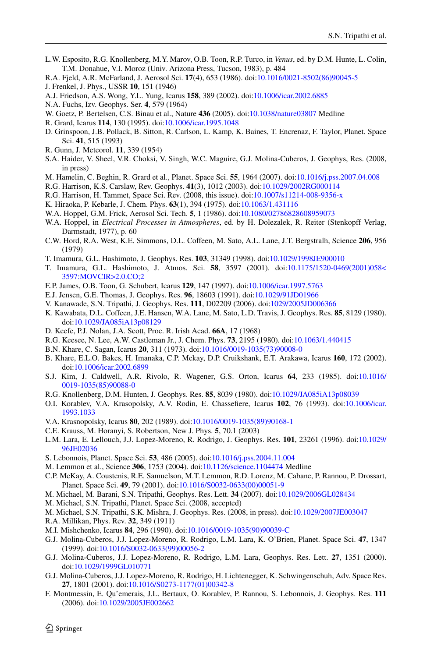- <span id="page-17-0"></span>L.W. Esposito, R.G. Knollenberg, M.Y. Marov, O.B. Toon, R.P. Turco, in *Venus*, ed. by D.M. Hunte, L. Colin, T.M. Donahue, V.I. Moroz (Univ. Arizona Press, Tucson, 1983), p. 484
- R.A. Fjeld, A.R. McFarland, J. Aerosol Sci. **17**(4), 653 (1986). doi[:10.1016/0021-8502\(86\)90045-5](http://dx.doi.org/10.1016/0021-8502(86)90045-5) J. Frenkel, J. Phys., USSR **10**, 151 (1946)
- A.J. Friedson, A.S. Wong, Y.L. Yung, Icarus **158**, 389 (2002). doi:[10.1006/icar.2002.6885](http://dx.doi.org/10.1006/icar.2002.6885)
- N.A. Fuchs, Izv. Geophys. Ser. **4**, 579 (1964)
- W. Goetz, P. Bertelsen, C.S. Binau et al., Nature **436** (2005). doi:[10.1038/nature03807](http://dx.doi.org/10.1038/nature03807) Medline
- R. Grard, Icarus **114**, 130 (1995). doi:[10.1006/icar.1995.1048](http://dx.doi.org/10.1006/icar.1995.1048)
- D. Grinspoon, J.B. Pollack, B. Sitton, R. Carlson, L. Kamp, K. Baines, T. Encrenaz, F. Taylor, Planet. Space Sci. **41**, 515 (1993)
- R. Gunn, J. Meteorol. **11**, 339 (1954)
- S.A. Haider, V. Sheel, V.R. Choksi, V. Singh, W.C. Maguire, G.J. Molina-Cuberos, J. Geophys, Res. (2008, in press)
- M. Hamelin, C. Beghin, R. Grard et al., Planet. Space Sci. **55**, 1964 (2007). doi[:10.1016/j.pss.2007.04.008](http://dx.doi.org/10.1016/j.pss.2007.04.008)
- R.G. Harrison, K.S. Carslaw, Rev. Geophys. **41**(3), 1012 (2003). doi:[10.1029/2002RG000114](http://dx.doi.org/10.1029/2002RG000114)
- R.G. Harrison, H. Tammet, Space Sci. Rev. (2008, this issue). doi:[10.1007/s11214-008-9356-x](http://dx.doi.org/10.1007/s11214-008-9356-x)
- K. Hiraoka, P. Kebarle, J. Chem. Phys. **63**(1), 394 (1975). doi[:10.1063/1.431116](http://dx.doi.org/10.1063/1.431116)
- W.A. Hoppel, G.M. Frick, Aerosol Sci. Tech. **5**, 1 (1986). doi:[10.1080/02786828608959073](http://dx.doi.org/10.1080/02786828608959073)
- W.A. Hoppel, in *Electrical Processes in Atmospheres*, ed. by H. Dolezalek, R. Reiter (Stenkopff Verlag, Darmstadt, 1977), p. 60
- C.W. Hord, R.A. West, K.E. Simmons, D.L. Coffeen, M. Sato, A.L. Lane, J.T. Bergstralh, Science **206**, 956 (1979)
- T. Imamura, G.L. Hashimoto, J. Geophys. Res. **103**, 31349 (1998). doi[:10.1029/1998JE900010](http://dx.doi.org/10.1029/1998JE900010)
- T. Imamura, G.L. Hashimoto, J. Atmos. Sci. **58**, 3597 (2001). doi[:10.1175/1520-0469\(2001\)058<](http://dx.doi.org/10.1175/1520-0469(2001)058<3597:MOVCIR>2.0.CO;2) [3597:MOVCIR>2.0.CO;2](http://dx.doi.org/10.1175/1520-0469(2001)058<3597:MOVCIR>2.0.CO;2)
- E.P. James, O.B. Toon, G. Schubert, Icarus **129**, 147 (1997). doi:[10.1006/icar.1997.5763](http://dx.doi.org/10.1006/icar.1997.5763)
- E.J. Jensen, G.E. Thomas, J. Geophys. Res. **96**, 18603 (1991). doi[:10.1029/91JD01966](http://dx.doi.org/10.1029/91JD01966)
- V. Kanawade, S.N. Tripathi, J. Geophys. Res. **111**, D02209 (2006). doi[:1029/2005JD006366](http://dx.doi.org/1029/2005JD006366)
- K. Kawabata, D.L. Coffeen, J.E. Hansen, W.A. Lane, M. Sato, L.D. Travis, J. Geophys. Res. **85**, 8129 (1980). doi[:10.1029/JA085iA13p08129](http://dx.doi.org/10.1029/JA085iA13p08129)
- D. Keefe, P.J. Nolan, J.A. Scott, Proc. R. Irish Acad. **66A**, 17 (1968)
- R.G. Keesee, N. Lee, A.W. Castleman Jr., J. Chem. Phys. **73**, 2195 (1980). doi:[10.1063/1.440415](http://dx.doi.org/10.1063/1.440415)
- B.N. Khare, C. Sagan, Icarus **20**, 311 (1973). doi[:10.1016/0019-1035\(73\)90008-0](http://dx.doi.org/10.1016/0019-1035(73)90008-0)
- B. Khare, E.L.O. Bakes, H. Imanaka, C.P. Mckay, D.P. Cruikshank, E.T. Arakawa, Icarus **160**, 172 (2002). doi[:10.1006/icar.2002.6899](http://dx.doi.org/10.1006/icar.2002.6899)
- S.J. Kim, J. Caldwell, A.R. Rivolo, R. Wagener, G.S. Orton, Icarus **64**, 233 (1985). doi[:10.1016/](http://dx.doi.org/10.1016/0019-1035(85)90088-0) [0019-1035\(85\)90088-0](http://dx.doi.org/10.1016/0019-1035(85)90088-0)
- R.G. Knollenberg, D.M. Hunten, J. Geophys. Res. **85**, 8039 (1980). doi:[10.1029/JA085iA13p08039](http://dx.doi.org/10.1029/JA085iA13p08039)
- O.I. Korablev, V.A. Krasopolsky, A.V. Rodin, E. Chassefiere, Icarus **102**, 76 (1993). doi:[10.1006/icar.](http://dx.doi.org/10.1006/icar.1993.1033) [1993.1033](http://dx.doi.org/10.1006/icar.1993.1033)
- V.A. Krasnopolsky, Icarus **80**, 202 (1989). doi:[10.1016/0019-1035\(89\)90168-1](http://dx.doi.org/10.1016/0019-1035(89)90168-1)
- C.E. Krauss, M. Horanyi, S. Robertson, New J. Phys. **5**, 70.1 (2003)
- L.M. Lara, E. Lellouch, J.J. Lopez-Moreno, R. Rodrigo, J. Geophys. Res. **101**, 23261 (1996). doi[:10.1029/](http://dx.doi.org/10.1029/96JE02036) [96JE02036](http://dx.doi.org/10.1029/96JE02036)
- S. Lebonnois, Planet. Space Sci. **53**, 486 (2005). doi:[10.1016/j.pss.2004.11.004](http://dx.doi.org/10.1016/j.pss.2004.11.004)
- M. Lemmon et al., Science **306**, 1753 (2004). doi[:10.1126/science.1104474](http://dx.doi.org/10.1126/science.1104474) Medline
- C.P. McKay, A. Coustenis, R.E. Samuelson, M.T. Lemmon, R.D. Lorenz, M. Cabane, P. Rannou, P. Drossart, Planet. Space Sci. **49**, 79 (2001). doi[:10.1016/S0032-0633\(00\)00051-9](http://dx.doi.org/10.1016/S0032-0633(00)00051-9)
- M. Michael, M. Barani, S.N. Tripathi, Geophys. Res. Lett. **34** (2007). doi[:10.1029/2006GL028434](http://dx.doi.org/10.1029/2006GL028434)
- M. Michael, S.N. Tripathi, Planet. Space Sci. (2008, accepted)
- M. Michael, S.N. Tripathi, S.K. Mishra, J. Geophys. Res. (2008, in press). doi:[10.1029/2007JE003047](http://dx.doi.org/10.1029/2007JE003047)
- R.A. Millikan, Phys. Rev. **32**, 349 (1911)
- M.I. Mishchenko, Icarus **84**, 296 (1990). doi:[10.1016/0019-1035\(90\)90039-C](http://dx.doi.org/10.1016/0019-1035(90)90039-C)
- G.J. Molina-Cuberos, J.J. Lopez-Moreno, R. Rodrigo, L.M. Lara, K. O'Brien, Planet. Space Sci. **47**, 1347 (1999). doi[:10.1016/S0032-0633\(99\)00056-2](http://dx.doi.org/10.1016/S0032-0633(99)00056-2)
- G.J. Molina-Cuberos, J.J. Lopez-Moreno, R. Rodrigo, L.M. Lara, Geophys. Res. Lett. **27**, 1351 (2000). doi[:10.1029/1999GL010771](http://dx.doi.org/10.1029/1999GL010771)
- G.J. Molina-Cuberos, J.J. Lopez-Moreno, R. Rodrigo, H. Lichtenegger, K. Schwingenschuh, Adv. Space Res. **27**, 1801 (2001). doi[:10.1016/S0273-1177\(01\)00342-8](http://dx.doi.org/10.1016/S0273-1177(01)00342-8)
- F. Montmessin, E. Qu'emerais, J.L. Bertaux, O. Korablev, P. Rannou, S. Lebonnois, J. Geophys. Res. **111** (2006). doi[:10.1029/2005JE002662](http://dx.doi.org/10.1029/2005JE002662)